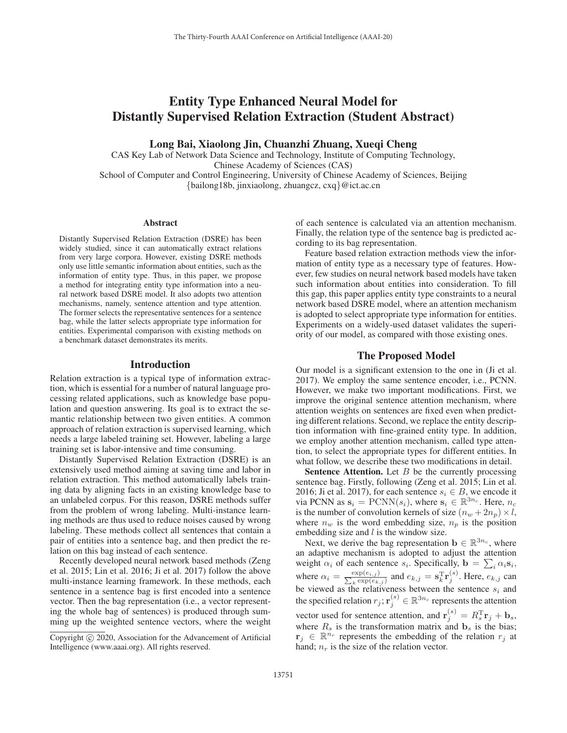# Entity Type Enhanced Neural Model for Distantly Supervised Relation Extraction (Student Abstract)

Long Bai, Xiaolong Jin, Chuanzhi Zhuang, Xueqi Cheng

CAS Key Lab of Network Data Science and Technology, Institute of Computing Technology, Chinese Academy of Sciences (CAS) School of Computer and Control Engineering, University of Chinese Academy of Sciences, Beijing

{bailong18b, jinxiaolong, zhuangcz, cxq}@ict.ac.cn

## **Abstract**

Distantly Supervised Relation Extraction (DSRE) has been widely studied, since it can automatically extract relations from very large corpora. However, existing DSRE methods only use little semantic information about entities, such as the information of entity type. Thus, in this paper, we propose a method for integrating entity type information into a neural network based DSRE model. It also adopts two attention mechanisms, namely, sentence attention and type attention. The former selects the representative sentences for a sentence bag, while the latter selects appropriate type information for entities. Experimental comparison with existing methods on a benchmark dataset demonstrates its merits.

## Introduction

Relation extraction is a typical type of information extraction, which is essential for a number of natural language processing related applications, such as knowledge base population and question answering. Its goal is to extract the semantic relationship between two given entities. A common approach of relation extraction is supervised learning, which needs a large labeled training set. However, labeling a large training set is labor-intensive and time consuming.

Distantly Supervised Relation Extraction (DSRE) is an extensively used method aiming at saving time and labor in relation extraction. This method automatically labels training data by aligning facts in an existing knowledge base to an unlabeled corpus. For this reason, DSRE methods suffer from the problem of wrong labeling. Multi-instance learning methods are thus used to reduce noises caused by wrong labeling. These methods collect all sentences that contain a pair of entities into a sentence bag, and then predict the relation on this bag instead of each sentence.

Recently developed neural network based methods (Zeng et al. 2015; Lin et al. 2016; Ji et al. 2017) follow the above multi-instance learning framework. In these methods, each sentence in a sentence bag is first encoded into a sentence vector. Then the bag representation (i.e., a vector representing the whole bag of sentences) is produced through summing up the weighted sentence vectors, where the weight of each sentence is calculated via an attention mechanism. Finally, the relation type of the sentence bag is predicted according to its bag representation.

Feature based relation extraction methods view the information of entity type as a necessary type of features. However, few studies on neural network based models have taken such information about entities into consideration. To fill this gap, this paper applies entity type constraints to a neural network based DSRE model, where an attention mechanism is adopted to select appropriate type information for entities. Experiments on a widely-used dataset validates the superiority of our model, as compared with those existing ones.

## The Proposed Model

Our model is a significant extension to the one in (Ji et al. 2017). We employ the same sentence encoder, i.e., PCNN. However, we make two important modifications. First, we improve the original sentence attention mechanism, where attention weights on sentences are fixed even when predicting different relations. Second, we replace the entity description information with fine-grained entity type. In addition, we employ another attention mechanism, called type attention, to select the appropriate types for different entities. In what follow, we describe these two modifications in detail.

**Sentence Attention.** Let  $B$  be the currently processing sentence bag. Firstly, following (Zeng et al. 2015; Lin et al. 2016; Ji et al. 2017), for each sentence  $s_i \in B$ , we encode it via PCNN as  $\mathbf{s}_i = \text{PCNN}(s_i)$ , where  $\mathbf{s}_i \in \mathbb{R}^{3n_c}$ . Here,  $n_c$ is the number of convolution kernels of size  $(n_w + 2n_p) \times l$ , where  $n_w$  is the word embedding size,  $n_p$  is the position embedding size and  $l$  is the window size.

Next, we derive the bag representation  $\mathbf{b} \in \mathbb{R}^{3n_c}$ , where an adaptive mechanism is adopted to adjust the attention weight  $\alpha_i$  of each sentence  $s_i$ . Specifically,  $\mathbf{b} = \sum_{\substack{\exp(e_i, i) \\ \mathbf{y} \to \mathbf{y}}}$  $\sum_i \alpha_i$ **s**<sub>i</sub>, where  $\alpha_i = \frac{\exp(e_{i,j})}{\sum_{k} \exp(e_{k,j})}$  and  $e_{k,j} = \mathbf{s}_k^{\mathrm{T}} \mathbf{r}_j^{(s)}$ . Here,  $e_{k,j}$  can be viewed as the relativeness between the sentence  $s_i$  and the specified relation  $r_j; \mathbf{r}_j^{(s)} \in \mathbb{R}^{3n_c}$  represents the attention vector used for sentence attention, and  $\mathbf{r}_j^{(s)} = R_s^T \mathbf{r}_j + \mathbf{b}_s$ , where  $R_s$  is the transformation matrix and  $\mathbf{b}_s$  is the bias;  $\mathbf{r}_i \in \mathbb{R}^{n_r}$  represents the embedding of the relation  $r_i$  at hand;  $n_r$  is the size of the relation vector.

Copyright  $\odot$  2020, Association for the Advancement of Artificial Intelligence (www.aaai.org). All rights reserved.